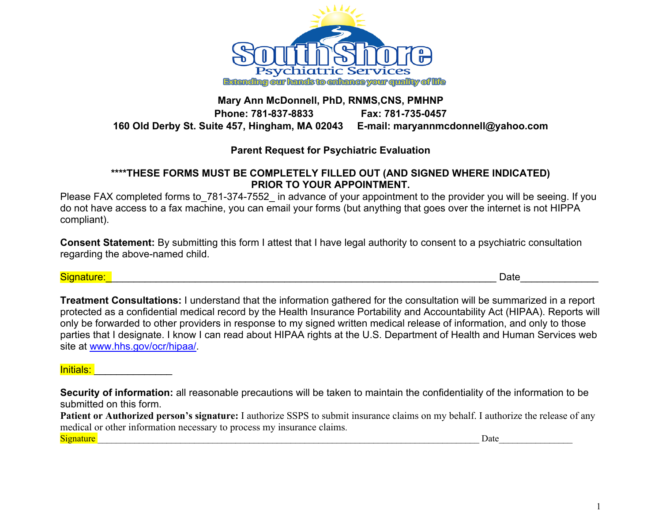

# **Mary Ann McDonnell, PhD, RNMS,CNS, PMHNP Phone: 781-837-8833 Fax: 781-735-0457 160 Old Derby St. Suite 457, Hingham, MA 02043 E-mail: maryannmcdonnell@yahoo.com**

# **Parent Request for Psychiatric Evaluation**

### **\*\*\*\*THESE FORMS MUST BE COMPLETELY FILLED OUT (AND SIGNED WHERE INDICATED) PRIOR TO YOUR APPOINTMENT.**

Please FAX completed forms to 781-374-7552 in advance of your appointment to the provider you will be seeing. If you do not have access to a fax machine, you can email your forms (but anything that goes over the internet is not HIPPA compliant).

**Consent Statement:** By submitting this form I attest that I have legal authority to consent to a psychiatric consultation regarding the above-named child.

Signature:\_\_\_\_\_\_\_\_\_\_\_\_\_\_\_\_\_\_\_\_\_\_\_\_\_\_\_\_\_\_\_\_\_\_\_\_\_\_\_\_\_\_\_\_\_\_\_\_\_\_\_\_\_\_\_\_\_\_\_\_\_\_\_\_\_\_\_\_\_\_ Date\_\_\_\_\_\_\_\_\_\_\_\_\_\_

**Treatment Consultations:** I understand that the information gathered for the consultation will be summarized in a report protected as a confidential medical record by the Health Insurance Portability and Accountability Act (HIPAA). Reports will only be forwarded to other providers in response to my signed written medical release of information, and only to those parties that I designate. I know I can read about HIPAA rights at the U.S. Department of Health and Human Services web site at www.hhs.gov/ocr/hipaa/.

### Initials:

**Security of information:** all reasonable precautions will be taken to maintain the confidentiality of the information to be submitted on this form.

**Patient or Authorized person's signature:** I authorize SSPS to submit insurance claims on my behalf. I authorize the release of any medical or other information necessary to process my insurance claims. Signature **and a structure** of the structure of the structure of the structure of the structure of the structure of the structure of the structure of the structure of the structure of the structure of the structure of the

1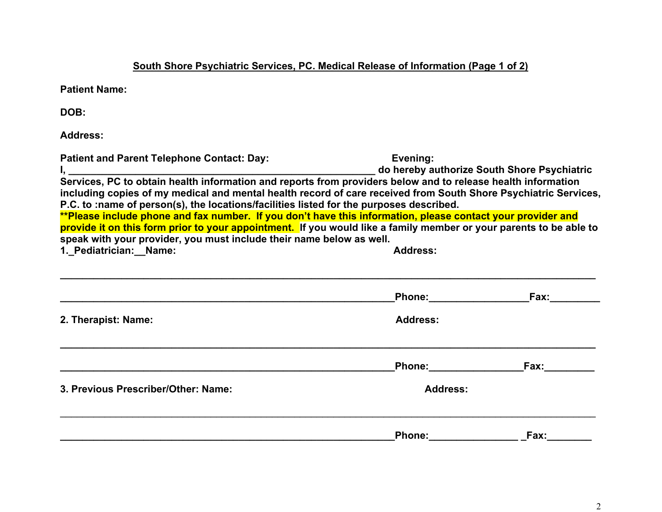**South Shore Psychiatric Services, PC. Medical Release of Information (Page 1 of 2)**

**Patient Name:**

**DOB:**

**Address:**

| <b>Patient and Parent Telephone Contact: Day:</b>                                                                                                                                                                                                                                                                                                                                                                                               | Evening:        |             |  |  |  |  |  |  |  |
|-------------------------------------------------------------------------------------------------------------------------------------------------------------------------------------------------------------------------------------------------------------------------------------------------------------------------------------------------------------------------------------------------------------------------------------------------|-----------------|-------------|--|--|--|--|--|--|--|
| including copies of my medical and mental health record of care received from South Shore Psychiatric Services,<br>P.C. to :name of person(s), the locations/facilities listed for the purposes described.<br>**Please include phone and fax number. If you don't have this information, please contact your provider and<br>provide it on this form prior to your appointment. If you would like a family member or your parents to be able to |                 |             |  |  |  |  |  |  |  |
| speak with your provider, you must include their name below as well.                                                                                                                                                                                                                                                                                                                                                                            |                 |             |  |  |  |  |  |  |  |
| 1. Pediatrician: Name:                                                                                                                                                                                                                                                                                                                                                                                                                          | <b>Address:</b> |             |  |  |  |  |  |  |  |
|                                                                                                                                                                                                                                                                                                                                                                                                                                                 |                 | Phone: Fax: |  |  |  |  |  |  |  |
| 2. Therapist: Name:                                                                                                                                                                                                                                                                                                                                                                                                                             | <b>Address:</b> |             |  |  |  |  |  |  |  |
|                                                                                                                                                                                                                                                                                                                                                                                                                                                 |                 | Phone: Fax: |  |  |  |  |  |  |  |
| 3. Previous Prescriber/Other: Name:                                                                                                                                                                                                                                                                                                                                                                                                             | <b>Address:</b> |             |  |  |  |  |  |  |  |
|                                                                                                                                                                                                                                                                                                                                                                                                                                                 |                 | Phone: Fax: |  |  |  |  |  |  |  |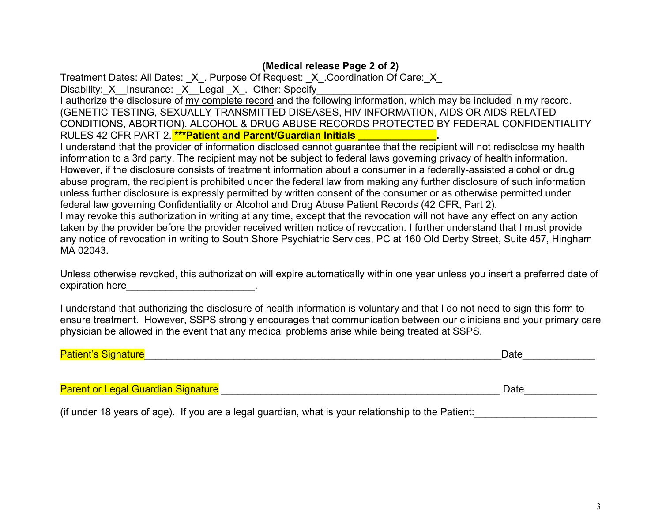# **(Medical release Page 2 of 2)**

Treatment Dates: All Dates:  $X$ . Purpose Of Request: X. Coordination Of Care: X Disability: X Insurance: X Legal X . Other: Specify

I authorize the disclosure of my complete record and the following information, which may be included in my record. (GENETIC TESTING, SEXUALLY TRANSMITTED DISEASES, HIV INFORMATION, AIDS OR AIDS RELATED CONDITIONS, ABORTION). ALCOHOL & DRUG ABUSE RECORDS PROTECTED BY FEDERAL CONFIDENTIALITY RULES 42 CFR PART 2. **\*\*\*Patient and Parent/Guardian Initials** 

I understand that the provider of information disclosed cannot guarantee that the recipient will not redisclose my health information to a 3rd party. The recipient may not be subject to federal laws governing privacy of health information. However, if the disclosure consists of treatment information about a consumer in a federally-assisted alcohol or drug abuse program, the recipient is prohibited under the federal law from making any further disclosure of such information unless further disclosure is expressly permitted by written consent of the consumer or as otherwise permitted under federal law governing Confidentiality or Alcohol and Drug Abuse Patient Records (42 CFR, Part 2). I may revoke this authorization in writing at any time, except that the revocation will not have any effect on any action taken by the provider before the provider received written notice of revocation. I further understand that I must provide any notice of revocation in writing to South Shore Psychiatric Services, PC at 160 Old Derby Street, Suite 457, Hingham MA 02043.

Unless otherwise revoked, this authorization will expire automatically within one year unless you insert a preferred date of expiration here **with the set of the set of the set of the set of the set of the set of the set of the set of the set of the set of the set of the set of the set of the set of the set of the set of the set of the set of th** 

I understand that authorizing the disclosure of health information is voluntary and that I do not need to sign this form to ensure treatment. However, SSPS strongly encourages that communication between our clinicians and your primary care physician be allowed in the event that any medical problems arise while being treated at SSPS.

| <b>Patient</b> '<br><u>INNATI Ire</u> | )ate<br>_ |
|---------------------------------------|-----------|
|                                       |           |

Parent or Legal Guardian Signature \_\_\_\_\_\_\_\_\_\_\_\_\_\_\_\_\_\_\_\_\_\_\_\_\_\_\_\_\_\_\_\_\_\_\_\_\_\_\_\_\_\_\_\_\_\_\_\_\_\_ Date\_\_\_\_\_\_\_\_\_\_\_\_\_

(if under 18 years of age). If you are a legal guardian, what is your relationship to the Patient: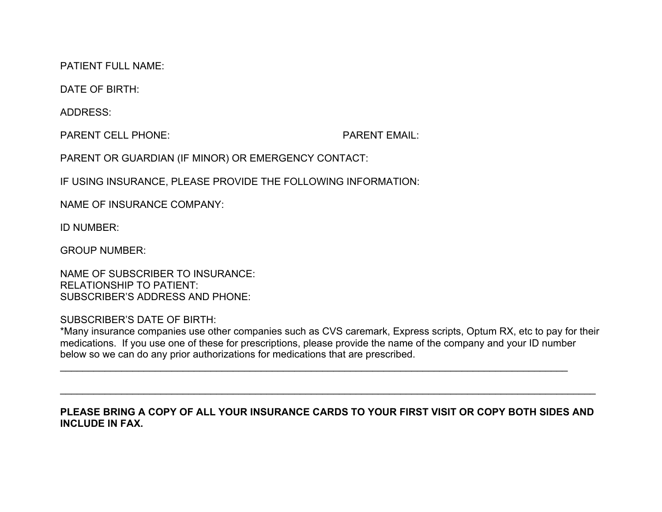PATIENT FULL NAME:

DATE OF BIRTH:

ADDRESS:

PARENT CELL PHONE: PARENT EMAIL:

PARENT OR GUARDIAN (IF MINOR) OR EMERGENCY CONTACT:

IF USING INSURANCE, PLEASE PROVIDE THE FOLLOWING INFORMATION:

NAME OF INSURANCE COMPANY:

ID NUMBER:

GROUP NUMBER:

NAME OF SUBSCRIBER TO INSURANCE: RELATIONSHIP TO PATIENT: SUBSCRIBER'S ADDRESS AND PHONE:

SUBSCRIBER'S DATE OF BIRTH:

\*Many insurance companies use other companies such as CVS caremark, Express scripts, Optum RX, etc to pay for their medications. If you use one of these for prescriptions, please provide the name of the company and your ID number below so we can do any prior authorizations for medications that are prescribed.

 $\mathcal{L}_\text{max} = \mathcal{L}_\text{max} = \mathcal{L}_\text{max} = \mathcal{L}_\text{max} = \mathcal{L}_\text{max} = \mathcal{L}_\text{max} = \mathcal{L}_\text{max} = \mathcal{L}_\text{max} = \mathcal{L}_\text{max} = \mathcal{L}_\text{max} = \mathcal{L}_\text{max} = \mathcal{L}_\text{max} = \mathcal{L}_\text{max} = \mathcal{L}_\text{max} = \mathcal{L}_\text{max} = \mathcal{L}_\text{max} = \mathcal{L}_\text{max} = \mathcal{L}_\text{max} = \mathcal{$ 

### **PLEASE BRING A COPY OF ALL YOUR INSURANCE CARDS TO YOUR FIRST VISIT OR COPY BOTH SIDES AND INCLUDE IN FAX.**

 $\mathcal{L}_\mathcal{L} = \{ \mathcal{L}_\mathcal{L} = \{ \mathcal{L}_\mathcal{L} = \{ \mathcal{L}_\mathcal{L} = \{ \mathcal{L}_\mathcal{L} = \{ \mathcal{L}_\mathcal{L} = \{ \mathcal{L}_\mathcal{L} = \{ \mathcal{L}_\mathcal{L} = \{ \mathcal{L}_\mathcal{L} = \{ \mathcal{L}_\mathcal{L} = \{ \mathcal{L}_\mathcal{L} = \{ \mathcal{L}_\mathcal{L} = \{ \mathcal{L}_\mathcal{L} = \{ \mathcal{L}_\mathcal{L} = \{ \mathcal{L}_\mathcal{$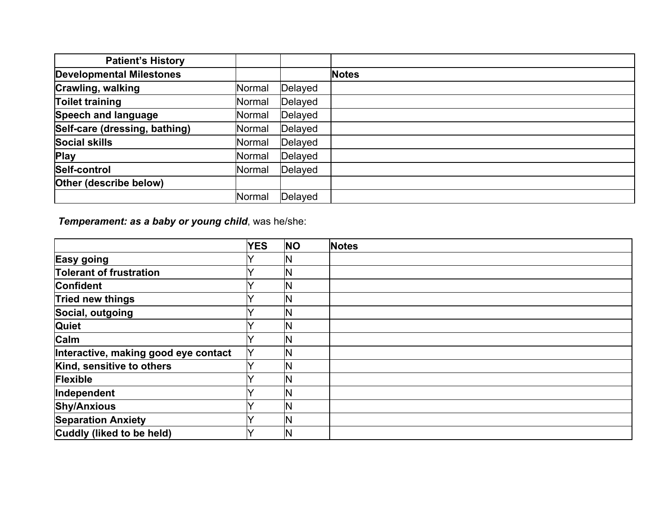| <b>Patient's History</b>        |        |         |              |
|---------------------------------|--------|---------|--------------|
| <b>Developmental Milestones</b> |        |         | <b>Notes</b> |
| <b>Crawling, walking</b>        | Normal | Delayed |              |
| <b>Toilet training</b>          | Normal | Delayed |              |
| Speech and language             | Normal | Delayed |              |
| Self-care (dressing, bathing)   | Normal | Delayed |              |
| <b>Social skills</b>            | Normal | Delayed |              |
| <b>Play</b>                     | Normal | Delayed |              |
| Self-control                    | Normal | Delayed |              |
| Other (describe below)          |        |         |              |
|                                 | Normal | Delayed |              |

*Temperament: as a baby or young child*, was he/she:

|                                      | <b>YES</b>   | <b>NO</b>    | <b>Notes</b> |
|--------------------------------------|--------------|--------------|--------------|
| <b>Easy going</b>                    |              | IN           |              |
| <b>Tolerant of frustration</b>       |              | IN           |              |
| <b>Confident</b>                     |              | $\mathsf{N}$ |              |
| Tried new things                     |              | IN           |              |
| Social, outgoing                     |              | ΙN           |              |
| <b>Quiet</b>                         |              | IN           |              |
| <b>Calm</b>                          |              | ΙN           |              |
| Interactive, making good eye contact | $\checkmark$ | IN           |              |
| Kind, sensitive to others            |              | ΙN           |              |
| Flexible                             |              | IN           |              |
| Independent                          |              | $\mathsf{N}$ |              |
| <b>Shy/Anxious</b>                   |              | IN           |              |
| <b>Separation Anxiety</b>            |              | IN           |              |
| Cuddly (liked to be held)            |              | IN           |              |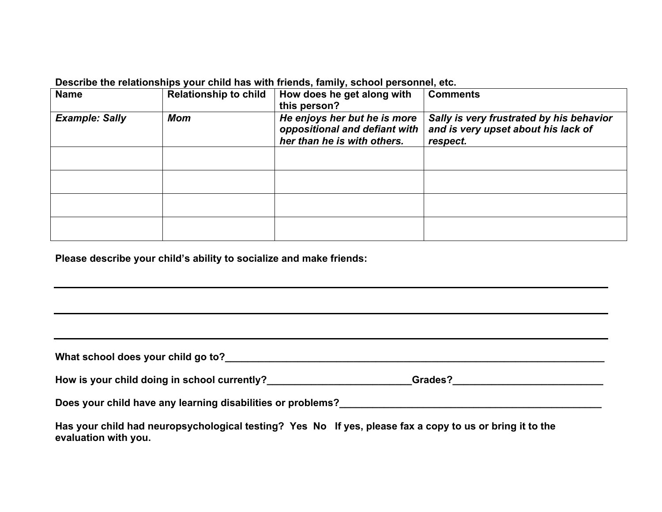**Describe the relationships your child has with friends, family, school personnel, etc.**

| <b>Name</b>           | <b>Relationship to child</b> | How does he get along with<br>this person?                                                   | <b>Comments</b>                                                                             |
|-----------------------|------------------------------|----------------------------------------------------------------------------------------------|---------------------------------------------------------------------------------------------|
| <b>Example: Sally</b> | <b>Mom</b>                   | He enjoys her but he is more<br>oppositional and defiant with<br>her than he is with others. | Sally is very frustrated by his behavior<br>and is very upset about his lack of<br>respect. |
|                       |                              |                                                                                              |                                                                                             |
|                       |                              |                                                                                              |                                                                                             |
|                       |                              |                                                                                              |                                                                                             |
|                       |                              |                                                                                              |                                                                                             |

**Please describe your child's ability to socialize and make friends:**

| How is your child doing in school currently?                                                             | Grades? |
|----------------------------------------------------------------------------------------------------------|---------|
| Does your child have any learning disabilities or problems?                                              |         |
| Has your child had neuropsychological testing? Yes No If yes, please fax a copy to us or bring it to the |         |

**evaluation with you.**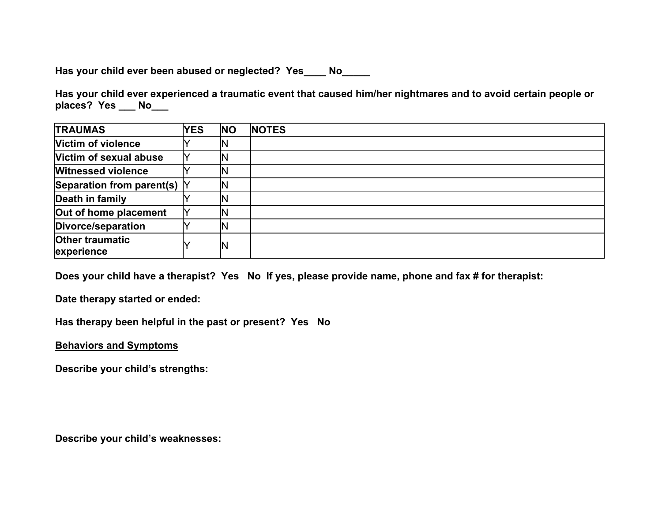**Has your child ever been abused or neglected? Yes\_\_\_\_ No\_\_\_\_\_**

**Has your child ever experienced a traumatic event that caused him/her nightmares and to avoid certain people or places? Yes \_\_\_ No\_\_\_**

| <b>TRAUMAS</b>                         | <b>YES</b> | <b>INO</b> | <b>NOTES</b> |
|----------------------------------------|------------|------------|--------------|
| <b>Victim of violence</b>              |            |            |              |
| Victim of sexual abuse                 |            |            |              |
| <b>Witnessed violence</b>              |            |            |              |
| Separation from parent(s) $\mathsf{Y}$ |            |            |              |
| Death in family                        |            |            |              |
| Out of home placement                  |            |            |              |
| Divorce/separation                     |            |            |              |
| <b>Other traumatic</b><br>experience   |            | N          |              |

**Does your child have a therapist? Yes No If yes, please provide name, phone and fax # for therapist:**

**Date therapy started or ended:**

**Has therapy been helpful in the past or present? Yes No** 

**Behaviors and Symptoms** 

**Describe your child's strengths:**

**Describe your child's weaknesses:**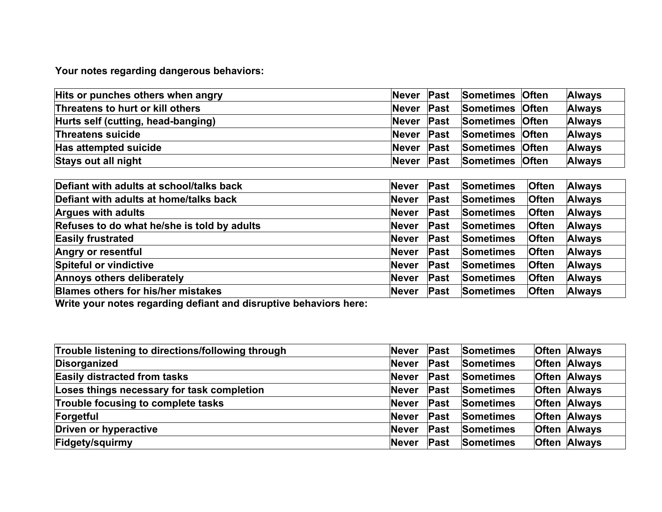**Your notes regarding dangerous behaviors:**

| Hits or punches others when angry  | <b>Never</b><br><b>Past</b> | Sometimes Often | <b>Always</b> |
|------------------------------------|-----------------------------|-----------------|---------------|
| Threatens to hurt or kill others   | <b>Never</b><br><b>Past</b> | Sometimes Often | <b>Always</b> |
| Hurts self (cutting, head-banging) | <b>Never</b><br><b>Past</b> | Sometimes Often | <b>Always</b> |
| <b>Threatens suicide</b>           | <b>Never</b><br>Past        | Sometimes Often | <b>Always</b> |
| Has attempted suicide              | Past<br><b>Never</b>        | Sometimes Often | <b>Always</b> |
| Stays out all night                | Past<br><b>Never</b>        | Sometimes Often | <b>Always</b> |

| Defiant with adults at school/talks back    | <b>Never</b> | <b>Past</b> | <b>Sometimes</b> | <b>Often</b> | <b>Always</b> |
|---------------------------------------------|--------------|-------------|------------------|--------------|---------------|
| Defiant with adults at home/talks back      | <b>Never</b> | Past        | Sometimes        | <b>Often</b> | <b>Always</b> |
| <b>Argues with adults</b>                   | <b>Never</b> | Past        | <b>Sometimes</b> | <b>Often</b> | <b>Always</b> |
| Refuses to do what he/she is told by adults | <b>Never</b> | <b>Past</b> | <b>Sometimes</b> | <b>Often</b> | <b>Always</b> |
| <b>Easily frustrated</b>                    | <b>Never</b> | Past        | Sometimes        | <b>Often</b> | <b>Always</b> |
| <b>Angry or resentful</b>                   | <b>Never</b> | Past        | Sometimes        | <b>Often</b> | <b>Always</b> |
| Spiteful or vindictive                      | <b>Never</b> | <b>Past</b> | <b>Sometimes</b> | <b>Often</b> | <b>Always</b> |
| <b>Annoys others deliberately</b>           | <b>Never</b> | <b>Past</b> | <b>Sometimes</b> | <b>Often</b> | <b>Always</b> |
| <b>Blames others for his/her mistakes</b>   | <b>Never</b> | Past        | Sometimes        | <b>Often</b> | <b>Always</b> |

**Write your notes regarding defiant and disruptive behaviors here:** 

| Trouble listening to directions/following through | <b>Never</b> | <b>Past</b> | Sometimes        | <b>Often Always</b> |
|---------------------------------------------------|--------------|-------------|------------------|---------------------|
| Disorganized                                      | <b>Never</b> | Past        | <b>Sometimes</b> | <b>Often Always</b> |
| <b>Easily distracted from tasks</b>               | <b>Never</b> | Past        | <b>Sometimes</b> | <b>Often Always</b> |
| Loses things necessary for task completion        | <b>Never</b> | Past        | <b>Sometimes</b> | <b>Often Always</b> |
| Trouble focusing to complete tasks                | <b>Never</b> | <b>Past</b> | <b>Sometimes</b> | <b>Often Always</b> |
| Forgetful                                         | <b>Never</b> | Past        | <b>Sometimes</b> | <b>Often Always</b> |
| Driven or hyperactive                             | <b>Never</b> | Past        | <b>Sometimes</b> | <b>Often Always</b> |
| Fidgety/squirmy                                   | <b>Never</b> | Past        | <b>Sometimes</b> | <b>Often Always</b> |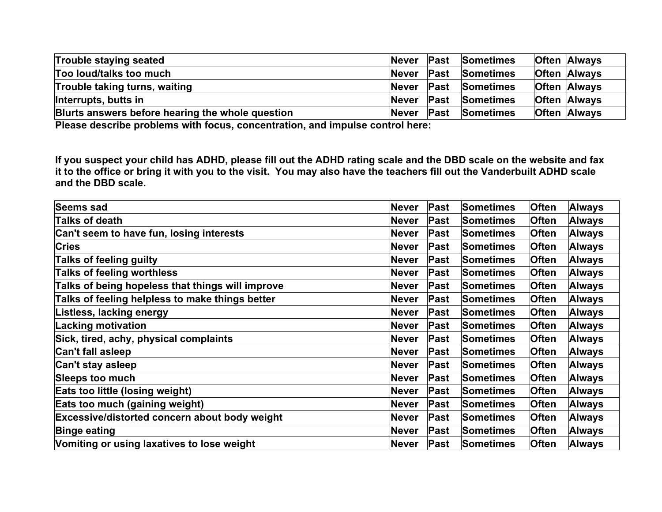| Trouble staying seated                           | Never        | $\mathsf{Fast}$ | <b>Sometimes</b> | <b>Often Always</b> |
|--------------------------------------------------|--------------|-----------------|------------------|---------------------|
| Too loud/talks too much                          | <b>Never</b> | <b>Past</b>     | <b>Sometimes</b> | <b>Often Always</b> |
| Trouble taking turns, waiting                    | <b>Never</b> | Past            | <b>Sometimes</b> | <b>Often Always</b> |
| Interrupts, butts in                             | Never        | <b>Past</b>     | <b>Sometimes</b> | <b>Often Always</b> |
| Blurts answers before hearing the whole question | <b>Never</b> | $\mathsf{Fast}$ | <b>Sometimes</b> | <b>Often Always</b> |

**Please describe problems with focus, concentration, and impulse control here:** 

**If you suspect your child has ADHD, please fill out the ADHD rating scale and the DBD scale on the website and fax it to the office or bring it with you to the visit. You may also have the teachers fill out the Vanderbuilt ADHD scale and the DBD scale.**

| <b>Seems sad</b>                                 | <b>Never</b> | Past | Sometimes        | <b>Often</b> | <b>Always</b> |
|--------------------------------------------------|--------------|------|------------------|--------------|---------------|
| Talks of death                                   | <b>Never</b> | Past | Sometimes        | <b>Often</b> | <b>Always</b> |
| Can't seem to have fun, losing interests         | <b>Never</b> | Past | Sometimes        | <b>Often</b> | <b>Always</b> |
| <b>Cries</b>                                     | <b>Never</b> | Past | Sometimes        | <b>Often</b> | <b>Always</b> |
| <b>Talks of feeling guilty</b>                   | <b>Never</b> | Past | Sometimes        | <b>Often</b> | <b>Always</b> |
| Talks of feeling worthless                       | <b>Never</b> | Past | Sometimes        | Often        | <b>Always</b> |
| Talks of being hopeless that things will improve | <b>Never</b> | Past | <b>Sometimes</b> | <b>Often</b> | <b>Always</b> |
| Talks of feeling helpless to make things better  | <b>Never</b> | Past | <b>Sometimes</b> | <b>Often</b> | <b>Always</b> |
| Listless, lacking energy                         | <b>Never</b> | Past | Sometimes        | <b>Often</b> | <b>Always</b> |
| <b>Lacking motivation</b>                        | Never        | Past | Sometimes        | <b>Often</b> | <b>Always</b> |
| Sick, tired, achy, physical complaints           | <b>Never</b> | Past | Sometimes        | <b>Often</b> | <b>Always</b> |
| <b>Can't fall asleep</b>                         | <b>Never</b> | Past | Sometimes        | Often        | <b>Always</b> |
| Can't stay asleep                                | <b>Never</b> | Past | Sometimes        | <b>Often</b> | <b>Always</b> |
| <b>Sleeps too much</b>                           | <b>Never</b> | Past | Sometimes        | <b>Often</b> | <b>Always</b> |
| Eats too little (losing weight)                  | Never        | Past | Sometimes        | <b>Often</b> | <b>Always</b> |
| Eats too much (gaining weight)                   | <b>Never</b> | Past | Sometimes        | <b>Often</b> | <b>Always</b> |
| Excessive/distorted concern about body weight    | <b>Never</b> | Past | Sometimes        | <b>Often</b> | <b>Always</b> |
| <b>Binge eating</b>                              | <b>Never</b> | Past | <b>Sometimes</b> | Often        | <b>Always</b> |
| Vomiting or using laxatives to lose weight       | <b>Never</b> | Past | <b>Sometimes</b> | <b>Often</b> | <b>Always</b> |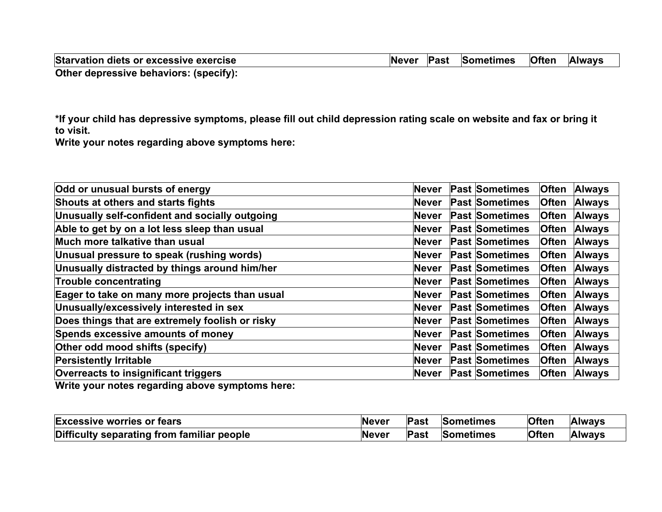| Starvation diets or excessive exercise |  | Never Past Sometimes Often | <b>Always</b> |
|----------------------------------------|--|----------------------------|---------------|
| Other depressive behaviors: (specify): |  |                            |               |

**\*If your child has depressive symptoms, please fill out child depression rating scale on website and fax or bring it to visit.**

**Write your notes regarding above symptoms here:** 

| Odd or unusual bursts of energy                     | Never    | <b>Past Sometimes</b> | <b>Often</b> | <b>Always</b> |
|-----------------------------------------------------|----------|-----------------------|--------------|---------------|
| Shouts at others and starts fights                  | Never    | <b>Past Sometimes</b> | <b>Often</b> | <b>Always</b> |
| Unusually self-confident and socially outgoing      | Never    | <b>Past Sometimes</b> | <b>Often</b> | <b>Always</b> |
| Able to get by on a lot less sleep than usual       | Never    | <b>Past Sometimes</b> | <b>Often</b> | <b>Always</b> |
| Much more talkative than usual                      | lNever   | <b>Past Sometimes</b> | <b>Often</b> | <b>Always</b> |
| Unusual pressure to speak (rushing words)           | lNever   | <b>Past Sometimes</b> | <b>Often</b> | <b>Always</b> |
| Unusually distracted by things around him/her       | Never    | <b>Past Sometimes</b> | <b>Often</b> | <b>Always</b> |
| <b>Trouble concentrating</b>                        | lNever i | <b>Past Sometimes</b> | <b>Often</b> | <b>Always</b> |
| Eager to take on many more projects than usual      | Never    | <b>Past Sometimes</b> | <b>Often</b> | <b>Always</b> |
| Unusually/excessively interested in sex             | Never    | <b>Past Sometimes</b> | <b>Often</b> | <b>Always</b> |
| Does things that are extremely foolish or risky     | Never    | <b>Past Sometimes</b> | <b>Often</b> | <b>Always</b> |
| Spends excessive amounts of money                   | lNever i | <b>Past Sometimes</b> | <b>Often</b> | <b>Always</b> |
| Other odd mood shifts (specify)                     | Never    | <b>Past Sometimes</b> | <b>Often</b> | <b>Always</b> |
| <b>Persistently Irritable</b>                       | Never    | <b>Past Sometimes</b> | <b>Often</b> | <b>Always</b> |
| <b>Overreacts to insignificant triggers</b>         | Never    | <b>Past Sometimes</b> | <b>Often</b> | <b>Always</b> |
| Multa waxyo gabaa waxaadka qobaya ayoontamaa laagay |          |                       |              |               |

**Write your notes regarding above symptoms here:** 

| <b>Excessive worries or fears</b>          | <b>Never</b> | Past | Sometimes        | <b>Often</b> | <b>Always</b> |
|--------------------------------------------|--------------|------|------------------|--------------|---------------|
| Difficulty separating from familiar people | Never        | Past | <b>Sometimes</b> | <b>Often</b> | <b>Always</b> |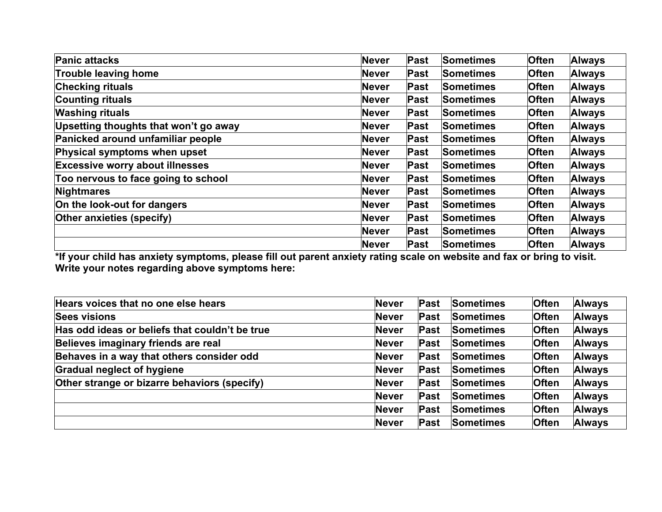| <b>Panic attacks</b>                   | <b>Never</b> | Past | <b>Sometimes</b> | <b>Often</b> | <b>Always</b> |
|----------------------------------------|--------------|------|------------------|--------------|---------------|
| <b>Trouble leaving home</b>            | <b>Never</b> | Past | <b>Sometimes</b> | <b>Often</b> | <b>Always</b> |
| <b>Checking rituals</b>                | <b>Never</b> | Past | <b>Sometimes</b> | <b>Often</b> | <b>Always</b> |
| <b>Counting rituals</b>                | <b>Never</b> | Past | <b>Sometimes</b> | <b>Often</b> | <b>Always</b> |
| <b>Washing rituals</b>                 | <b>Never</b> | Past | <b>Sometimes</b> | <b>Often</b> | <b>Always</b> |
| Upsetting thoughts that won't go away  | <b>Never</b> | Past | <b>Sometimes</b> | <b>Often</b> | <b>Always</b> |
| Panicked around unfamiliar people      | <b>Never</b> | Past | <b>Sometimes</b> | <b>Often</b> | <b>Always</b> |
| Physical symptoms when upset           | <b>Never</b> | Past | <b>Sometimes</b> | <b>Often</b> | <b>Always</b> |
| <b>Excessive worry about illnesses</b> | <b>Never</b> | Past | <b>Sometimes</b> | <b>Often</b> | <b>Always</b> |
| Too nervous to face going to school    | <b>Never</b> | Past | <b>Sometimes</b> | <b>Often</b> | <b>Always</b> |
| Nightmares                             | Never        | Past | <b>Sometimes</b> | <b>Often</b> | <b>Always</b> |
| On the look-out for dangers            | <b>Never</b> | Past | <b>Sometimes</b> | <b>Often</b> | <b>Always</b> |
| Other anxieties (specify)              | <b>Never</b> | Past | <b>Sometimes</b> | <b>Often</b> | <b>Always</b> |
|                                        | <b>Never</b> | Past | <b>Sometimes</b> | <b>Often</b> | <b>Always</b> |
|                                        | Never        | Past | <b>Sometimes</b> | <b>Often</b> | <b>Always</b> |

**\*If your child has anxiety symptoms, please fill out parent anxiety rating scale on website and fax or bring to visit. Write your notes regarding above symptoms here:** 

| Hears voices that no one else hears            | <b>Never</b> | Past | <b>Sometimes</b> | <b>Often</b> | <b>Always</b> |
|------------------------------------------------|--------------|------|------------------|--------------|---------------|
| <b>Sees visions</b>                            | <b>Never</b> | Past | <b>Sometimes</b> | <b>Often</b> | <b>Always</b> |
| Has odd ideas or beliefs that couldn't be true | <b>Never</b> | Past | <b>Sometimes</b> | <b>Often</b> | <b>Always</b> |
| Believes imaginary friends are real            | <b>Never</b> | Past | <b>Sometimes</b> | <b>Often</b> | <b>Always</b> |
| Behaves in a way that others consider odd      | <b>Never</b> | Past | <b>Sometimes</b> | <b>Often</b> | <b>Always</b> |
| <b>Gradual neglect of hygiene</b>              | <b>Never</b> | Past | <b>Sometimes</b> | <b>Often</b> | <b>Always</b> |
| Other strange or bizarre behaviors (specify)   | <b>Never</b> | Past | <b>Sometimes</b> | <b>Often</b> | <b>Always</b> |
|                                                | <b>Never</b> | Past | <b>Sometimes</b> | <b>Often</b> | <b>Always</b> |
|                                                | <b>Never</b> | Past | <b>Sometimes</b> | <b>Often</b> | <b>Always</b> |
|                                                | <b>Never</b> | Past | <b>Sometimes</b> | <b>Often</b> | <b>Always</b> |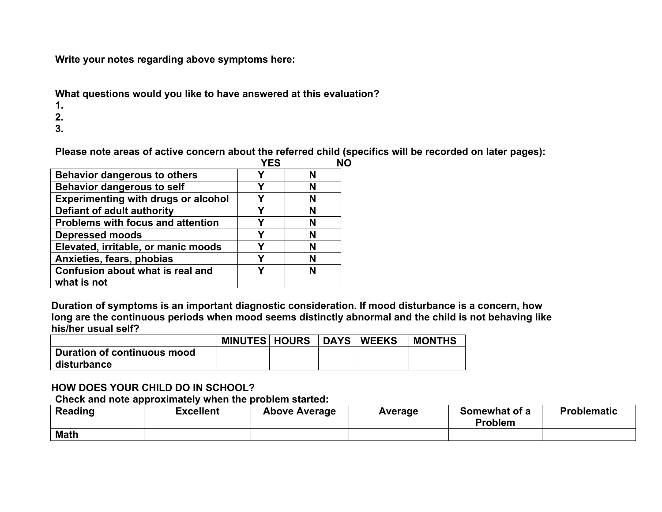**Write your notes regarding above symptoms here:**

**What questions would you like to have answered at this evaluation?**

**1.**

**2.**

**3.**

**Please note areas of active concern about the referred child (specifics will be recorded on later pages):**

|                                                 | <b>YES</b> |  |
|-------------------------------------------------|------------|--|
| <b>Behavior dangerous to others</b>             | Υ          |  |
| <b>Behavior dangerous to self</b>               |            |  |
| <b>Experimenting with drugs or alcohol</b>      | γ          |  |
| Defiant of adult authority                      |            |  |
| <b>Problems with focus and attention</b>        |            |  |
| <b>Depressed moods</b>                          | Υ          |  |
| Elevated, irritable, or manic moods             |            |  |
| Anxieties, fears, phobias                       | Υ          |  |
| Confusion about what is real and<br>what is not |            |  |

**Duration of symptoms is an important diagnostic consideration. If mood disturbance is a concern, how long are the continuous periods when mood seems distinctly abnormal and the child is not behaving like his/her usual self?**

|                             | <b>MINUTES   HOURS</b> | <b>DAYS</b> | <b>WEEKS</b> | <b>MONTHS</b> |
|-----------------------------|------------------------|-------------|--------------|---------------|
| Duration of continuous mood |                        |             |              |               |
| disturbance                 |                        |             |              |               |

### **HOW DOES YOUR CHILD DO IN SCHOOL?**

**Check and note approximately when the problem started:** 

| <b>Reading</b> | <b>Excellent</b> | <b>Above Average</b> | <b>Average</b> | Somewhat of a<br><b>Problem</b> | <b>Problematic</b> |
|----------------|------------------|----------------------|----------------|---------------------------------|--------------------|
| <b>Math</b>    |                  |                      |                |                                 |                    |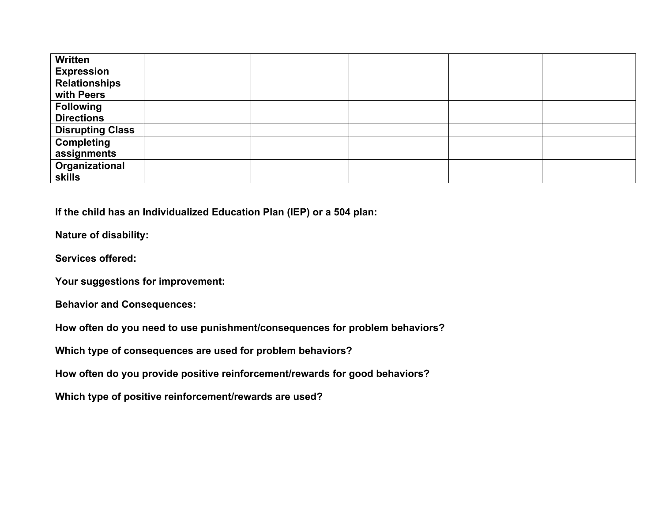| Written                 |  |  |  |
|-------------------------|--|--|--|
| <b>Expression</b>       |  |  |  |
| <b>Relationships</b>    |  |  |  |
| with Peers              |  |  |  |
| <b>Following</b>        |  |  |  |
| <b>Directions</b>       |  |  |  |
| <b>Disrupting Class</b> |  |  |  |
| <b>Completing</b>       |  |  |  |
| assignments             |  |  |  |
| Organizational          |  |  |  |
| <b>skills</b>           |  |  |  |

**If the child has an Individualized Education Plan (IEP) or a 504 plan:**

**Nature of disability:**

**Services offered:**

**Your suggestions for improvement:** 

**Behavior and Consequences:**

**How often do you need to use punishment/consequences for problem behaviors?** 

**Which type of consequences are used for problem behaviors?**

**How often do you provide positive reinforcement/rewards for good behaviors?**

**Which type of positive reinforcement/rewards are used?**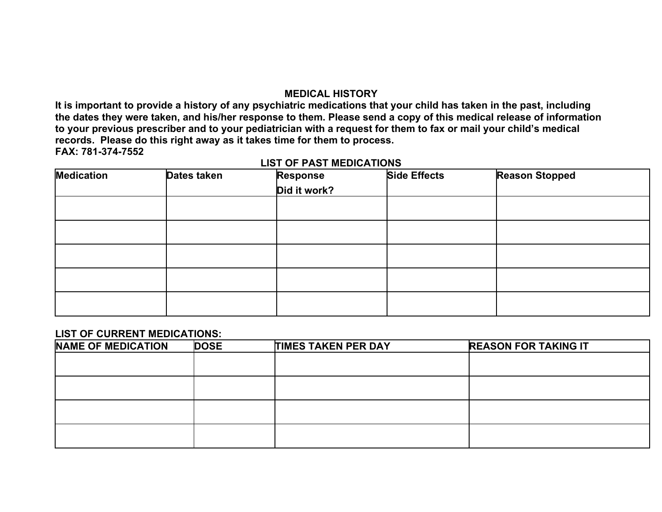### **MEDICAL HISTORY**

**It is important to provide a history of any psychiatric medications that your child has taken in the past, including the dates they were taken, and his/her response to them. Please send a copy of this medical release of information to your previous prescriber and to your pediatrician with a request for them to fax or mail your child's medical records. Please do this right away as it takes time for them to process. FAX: 781-374-7552**

| <b>Medication</b> | Dates taken | <b>Response</b> | <b>Side Effects</b> | <b>Reason Stopped</b> |
|-------------------|-------------|-----------------|---------------------|-----------------------|
|                   |             | Did it work?    |                     |                       |
|                   |             |                 |                     |                       |
|                   |             |                 |                     |                       |
|                   |             |                 |                     |                       |
|                   |             |                 |                     |                       |
|                   |             |                 |                     |                       |

#### **LIST OF PAST MEDICATIONS**

#### **LIST OF CURRENT MEDICATIONS:**

| NAME OF MEDICATION | <b>DOSE</b> | <b>TIMES TAKEN PER DAY</b> | <b>REASON FOR TAKING IT</b> |
|--------------------|-------------|----------------------------|-----------------------------|
|                    |             |                            |                             |
|                    |             |                            |                             |
|                    |             |                            |                             |
|                    |             |                            |                             |
|                    |             |                            |                             |
|                    |             |                            |                             |
|                    |             |                            |                             |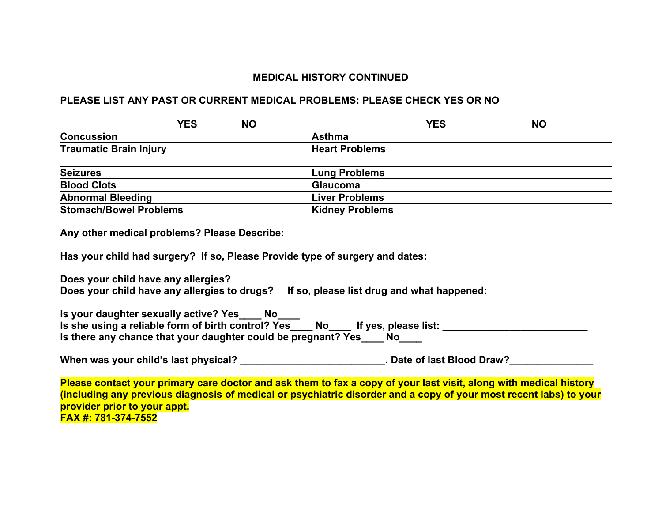### **MEDICAL HISTORY CONTINUED**

#### **PLEASE LIST ANY PAST OR CURRENT MEDICAL PROBLEMS: PLEASE CHECK YES OR NO**

|                                              | <b>YES</b> | <b>NO</b> |                        | <b>YES</b> | <b>NO</b> |
|----------------------------------------------|------------|-----------|------------------------|------------|-----------|
| <b>Concussion</b>                            |            |           | <b>Asthma</b>          |            |           |
| <b>Traumatic Brain Injury</b>                |            |           | <b>Heart Problems</b>  |            |           |
| <b>Seizures</b>                              |            |           | <b>Lung Problems</b>   |            |           |
| <b>Blood Clots</b>                           |            |           | <b>Glaucoma</b>        |            |           |
| <b>Abnormal Bleeding</b>                     |            |           | <b>Liver Problems</b>  |            |           |
| <b>Stomach/Bowel Problems</b>                |            |           | <b>Kidney Problems</b> |            |           |
| Any other medical problems? Please Describe: |            |           |                        |            |           |

**Has your child had surgery? If so, Please Provide type of surgery and dates:**

**Does your child have any allergies? Does your child have any allergies to drugs? If so, please list drug and what happened:** 

**Is your daughter sexually active? Yes Mo Is she using a reliable form of birth control? Yes \_\_\_ No \_\_\_ If yes, please list: \_\_\_\_\_\_\_\_\_\_\_\_\_\_\_\_\_\_\_\_\_\_\_\_\_\_\_\_\_\_\_\_\_\_ Is there any chance that your daughter could be pregnant? Yes Mo** 

When was your child's last physical? \_\_\_\_\_\_\_\_\_\_\_\_\_\_\_\_\_\_\_\_\_\_\_\_\_\_. Date of last Blood Draw?\_\_\_\_\_\_\_\_\_\_\_\_\_\_\_\_

**Please contact your primary care doctor and ask them to fax a copy of your last visit, along with medical history (including any previous diagnosis of medical or psychiatric disorder and a copy of your most recent labs) to your provider prior to your appt. FAX #: 781-374-7552**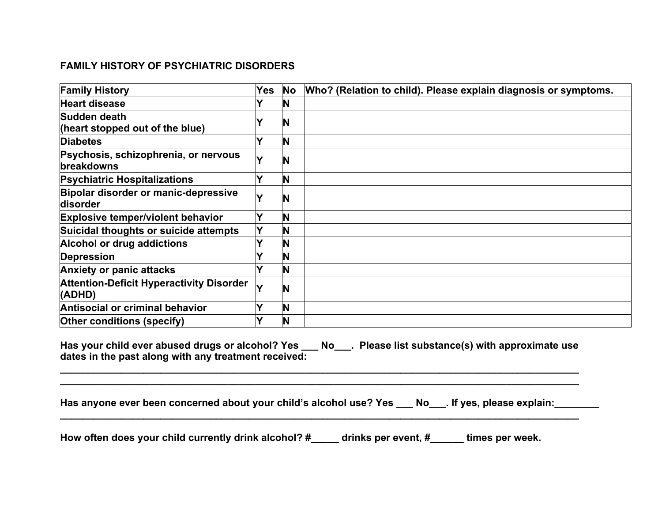### **FAMILY HISTORY OF PSYCHIATRIC DISORDERS**

| <b>Family History</b>                                     | Yes | <b>No</b> | Who? (Relation to child). Please explain diagnosis or symptoms. |
|-----------------------------------------------------------|-----|-----------|-----------------------------------------------------------------|
| <b>Heart disease</b>                                      |     | ΙN        |                                                                 |
| Sudden death<br>(heart stopped out of the blue)           |     | N         |                                                                 |
| <b>Diabetes</b>                                           |     | N         |                                                                 |
| Psychosis, schizophrenia, or nervous<br>breakdowns        | v   | N         |                                                                 |
| <b>Psychiatric Hospitalizations</b>                       |     | <b>N</b>  |                                                                 |
| Bipolar disorder or manic-depressive<br>disorder          |     | N         |                                                                 |
| <b>Explosive temper/violent behavior</b>                  |     | IN        |                                                                 |
| Suicidal thoughts or suicide attempts                     | Y   | N         |                                                                 |
| Alcohol or drug addictions                                |     | N         |                                                                 |
| Depression                                                |     | N         |                                                                 |
| <b>Anxiety or panic attacks</b>                           |     | N         |                                                                 |
| <b>Attention-Deficit Hyperactivity Disorder</b><br>(ADHD) |     | N         |                                                                 |
| Antisocial or criminal behavior                           |     | <b>N</b>  |                                                                 |
| <b>Other conditions (specify)</b>                         |     | N         |                                                                 |

**Has your child ever abused drugs or alcohol? Yes \_\_\_ No\_\_\_. Please list substance(s) with approximate use dates in the past along with any treatment received:** 

**\_\_\_\_\_\_\_\_\_\_\_\_\_\_\_\_\_\_\_\_\_\_\_\_\_\_\_\_\_\_\_\_\_\_\_\_\_\_\_\_\_\_\_\_\_\_\_\_\_\_\_\_\_\_\_\_\_\_\_\_\_\_\_\_\_\_\_\_\_\_\_\_\_\_\_\_\_\_\_\_\_\_\_\_\_\_\_\_\_\_\_\_\_ \_\_\_\_\_\_\_\_\_\_\_\_\_\_\_\_\_\_\_\_\_\_\_\_\_\_\_\_\_\_\_\_\_\_\_\_\_\_\_\_\_\_\_\_\_\_\_\_\_\_\_\_\_\_\_\_\_\_\_\_\_\_\_\_\_\_\_\_\_\_\_\_\_\_\_\_\_\_\_\_\_\_\_\_\_\_\_\_\_\_\_\_\_**

| Has anyone ever been concerned about your child's alcohol use? Yes ___ No___. If yes, please explain: |  |
|-------------------------------------------------------------------------------------------------------|--|
|                                                                                                       |  |

**How often does your child currently drink alcohol? #\_\_\_\_\_ drinks per event, #\_\_\_\_\_\_ times per week.**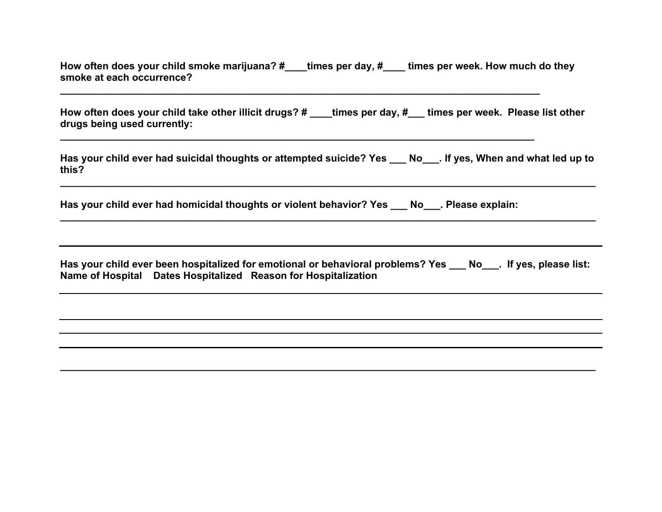**How often does your child smoke marijuana? #\_\_\_\_times per day, #\_\_\_\_ times per week. How much do they smoke at each occurrence?** 

**\_\_\_\_\_\_\_\_\_\_\_\_\_\_\_\_\_\_\_\_\_\_\_\_\_\_\_\_\_\_\_\_\_\_\_\_\_\_\_\_\_\_\_\_\_\_\_\_\_\_\_\_\_\_\_\_\_\_\_\_\_\_\_\_\_\_\_\_\_\_\_\_\_\_\_\_\_\_\_\_\_\_\_\_\_\_**

**How often does your child take other illicit drugs? # \_\_\_\_times per day, #\_\_\_ times per week. Please list other drugs being used currently:** 

**Has your child ever had suicidal thoughts or attempted suicide? Yes \_\_\_ No\_\_\_. If yes, When and what led up to this?**

**\_\_\_\_\_\_\_\_\_\_\_\_\_\_\_\_\_\_\_\_\_\_\_\_\_\_\_\_\_\_\_\_\_\_\_\_\_\_\_\_\_\_\_\_\_\_\_\_\_\_\_\_\_\_\_\_\_\_\_\_\_\_\_\_\_\_\_\_\_\_\_\_\_\_\_\_\_\_\_\_\_\_\_\_\_\_\_\_\_\_\_\_\_\_\_\_**

**\_\_\_\_\_\_\_\_\_\_\_\_\_\_\_\_\_\_\_\_\_\_\_\_\_\_\_\_\_\_\_\_\_\_\_\_\_\_\_\_\_\_\_\_\_\_\_\_\_\_\_\_\_\_\_\_\_\_\_\_\_\_\_\_\_\_\_\_\_\_\_\_\_\_\_\_\_\_\_\_\_\_\_\_\_\_\_\_\_\_\_\_\_\_\_\_**

**\_\_\_\_\_\_\_\_\_\_\_\_\_\_\_\_\_\_\_\_\_\_\_\_\_\_\_\_\_\_\_\_\_\_\_\_\_\_\_\_\_\_\_\_\_\_\_\_\_\_\_\_\_\_\_\_\_\_\_\_\_\_\_\_\_\_\_\_\_\_\_\_\_\_\_\_\_\_\_\_\_\_\_\_\_**

| Has your child ever had homicidal thoughts or violent behavior? Yes ____ | <b>No</b> | . Please explain: |
|--------------------------------------------------------------------------|-----------|-------------------|
|                                                                          |           |                   |

|  | Has your child ever been hospitalized for emotional or behavioral problems? Yes ___ No___. If yes, please list: |  |
|--|-----------------------------------------------------------------------------------------------------------------|--|
|  | Name of Hospital Dates Hospitalized Reason for Hospitalization                                                  |  |

**\_\_\_\_\_\_\_\_\_\_\_\_\_\_\_\_\_\_\_\_\_\_\_\_\_\_\_\_\_\_\_\_\_\_\_\_\_\_\_\_\_\_\_\_\_\_\_\_\_\_\_\_\_\_\_\_\_\_\_\_\_\_\_\_\_\_\_\_\_\_\_\_\_\_\_\_\_\_\_\_\_\_\_\_\_\_\_\_\_\_\_\_\_\_\_\_**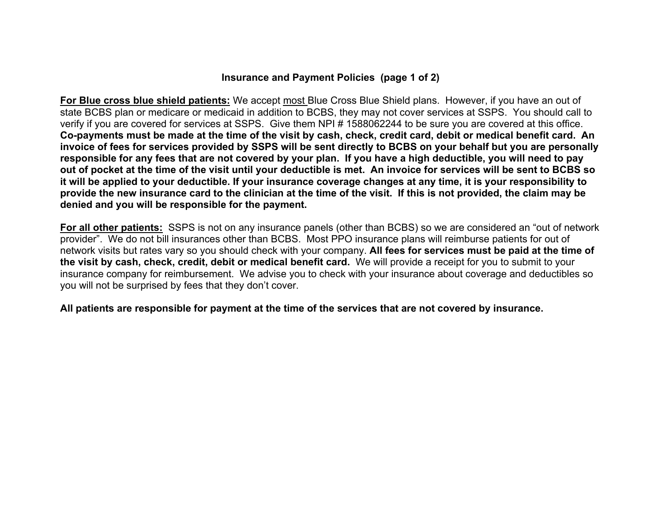### **Insurance and Payment Policies (page 1 of 2)**

**For Blue cross blue shield patients:** We accept most Blue Cross Blue Shield plans. However, if you have an out of state BCBS plan or medicare or medicaid in addition to BCBS, they may not cover services at SSPS. You should call to verify if you are covered for services at SSPS. Give them NPI # 1588062244 to be sure you are covered at this office. **Co-payments must be made at the time of the visit by cash, check, credit card, debit or medical benefit card. An invoice of fees for services provided by SSPS will be sent directly to BCBS on your behalf but you are personally responsible for any fees that are not covered by your plan. If you have a high deductible, you will need to pay out of pocket at the time of the visit until your deductible is met. An invoice for services will be sent to BCBS so it will be applied to your deductible. If your insurance coverage changes at any time, it is your responsibility to provide the new insurance card to the clinician at the time of the visit. If this is not provided, the claim may be denied and you will be responsible for the payment.**

**For all other patients:** SSPS is not on any insurance panels (other than BCBS) so we are considered an "out of network provider". We do not bill insurances other than BCBS. Most PPO insurance plans will reimburse patients for out of network visits but rates vary so you should check with your company. **All fees for services must be paid at the time of the visit by cash, check, credit, debit or medical benefit card.** We will provide a receipt for you to submit to your insurance company for reimbursement. We advise you to check with your insurance about coverage and deductibles so you will not be surprised by fees that they don't cover.

**All patients are responsible for payment at the time of the services that are not covered by insurance.**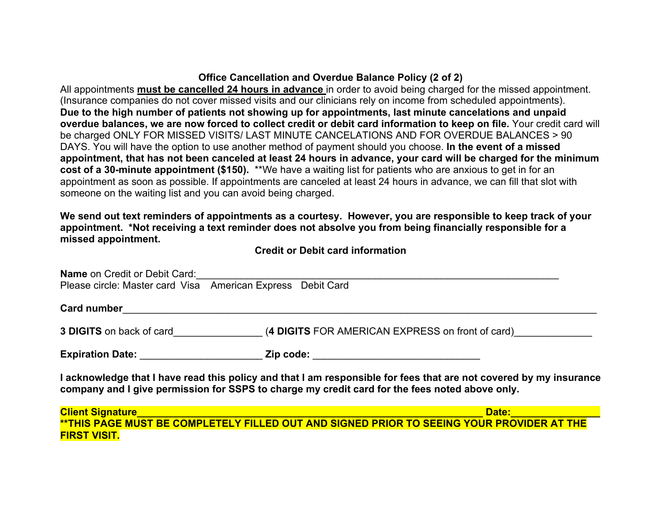# **Office Cancellation and Overdue Balance Policy (2 of 2)**

All appointments **must be cancelled 24 hours in advance** in order to avoid being charged for the missed appointment. (Insurance companies do not cover missed visits and our clinicians rely on income from scheduled appointments). **Due to the high number of patients not showing up for appointments, last minute cancelations and unpaid overdue balances, we are now forced to collect credit or debit card information to keep on file.** Your credit card will be charged ONLY FOR MISSED VISITS/ LAST MINUTE CANCELATIONS AND FOR OVERDUE BALANCES > 90 DAYS. You will have the option to use another method of payment should you choose. **In the event of a missed appointment, that has not been canceled at least 24 hours in advance, your card will be charged for the minimum cost of a 30-minute appointment (\$150).** \*\*We have a waiting list for patients who are anxious to get in for an appointment as soon as possible. If appointments are canceled at least 24 hours in advance, we can fill that slot with someone on the waiting list and you can avoid being charged.

**We send out text reminders of appointments as a courtesy. However, you are responsible to keep track of your appointment. \*Not receiving a text reminder does not absolve you from being financially responsible for a missed appointment.**

**Credit or Debit card information**

| <b>Name on Credit or Debit Card:</b>       |                                                                                                                                                                                                                      |  |
|--------------------------------------------|----------------------------------------------------------------------------------------------------------------------------------------------------------------------------------------------------------------------|--|
|                                            | Please circle: Master card Visa American Express Debit Card                                                                                                                                                          |  |
| <b>Card number</b>                         |                                                                                                                                                                                                                      |  |
| <b>3 DIGITS</b> on back of card            | (4 DIGITS FOR AMERICAN EXPRESS on front of card)                                                                                                                                                                     |  |
| Expiration Date: <u>__________________</u> | Zip code:                                                                                                                                                                                                            |  |
|                                            | I acknowledge that I have read this policy and that I am responsible for fees that are not covered by my insurance<br>company and I give permission for SSPS to charge my credit card for the fees noted above only. |  |
|                                            |                                                                                                                                                                                                                      |  |
|                                            |                                                                                                                                                                                                                      |  |

**FIRST VISIT.**